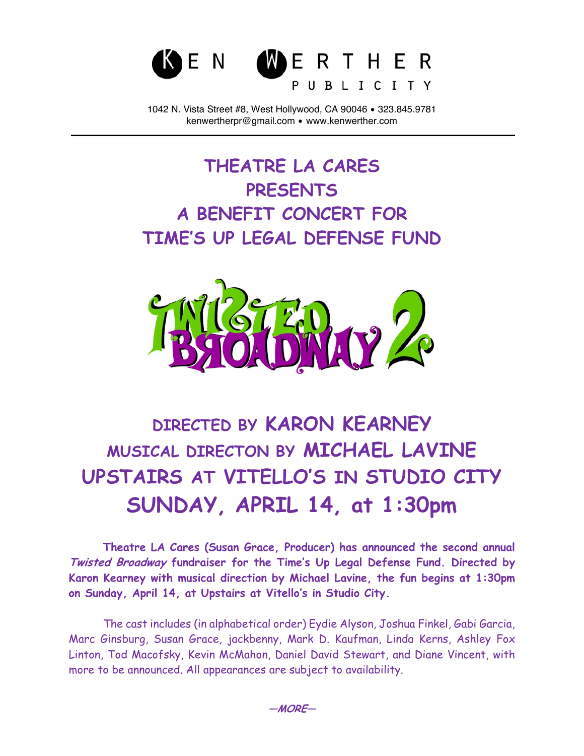

1042 N. Vista Street #8, West Hollywood, CA 90046 • 323.845.9781 kenwertherpr@gmail.com • www.kenwerther.com

## **THEATRE LA CARES PRESENTS A BENEFIT CONCERT FOR TIME'S UP LEGAL DEFENSE FUND**



## **DIRECTED BY KARON KEARNEY MUSICAL DIRECTON BY MICHAEL LAVINE UPSTAIRS AT VITELLO'S IN STUDIO CITY SUNDAY, APRIL 14, at 1:30pm**

**Theatre LA Cares (Susan Grace, Producer) has announced the second annual Twisted Broadway fundraiser for the Time's Up Legal Defense Fund. Directed by Karon Kearney with musical direction by Michael Lavine, the fun begins at 1:30pm on Sunday, April 14, at Upstairs at Vitello's in Studio City.**

The cast includes (in alphabetical order) Eydie Alyson, Joshua Finkel, Gabi Garcia, Marc Ginsburg, Susan Grace, jackbenny, Mark D. Kaufman, Linda Kerns, Ashley Fox Linton, Tod Macofsky, Kevin McMahon, Daniel David Stewart, and Diane Vincent, with more to be announced. All appearances are subject to availability.

**—MORE—**